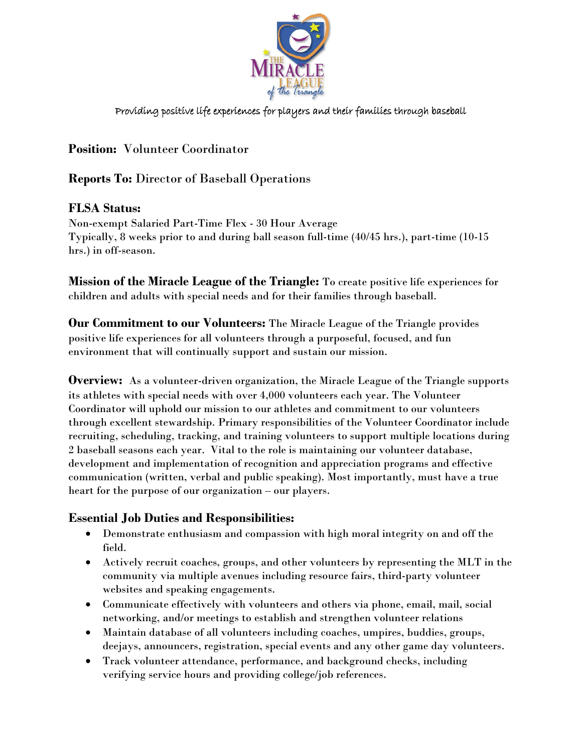

Providing positive life experiences for players and their families through baseball

# **Position:** Volunteer Coordinator

## **Reports To:** Director of Baseball Operations

#### **FLSA Status:**

Non-exempt Salaried Part-Time Flex - 30 Hour Average Typically, 8 weeks prior to and during ball season full-time (40/45 hrs.), part-time (10-15 hrs.) in off-season.

**Mission of the Miracle League of the Triangle:** To create positive life experiences for children and adults with special needs and for their families through baseball.

**Our Commitment to our Volunteers:** The Miracle League of the Triangle provides positive life experiences for all volunteers through a purposeful, focused, and fun environment that will continually support and sustain our mission.

**Overview:** As a volunteer-driven organization, the Miracle League of the Triangle supports its athletes with special needs with over 4,000 volunteers each year. The Volunteer Coordinator will uphold our mission to our athletes and commitment to our volunteers through excellent stewardship. Primary responsibilities of the Volunteer Coordinator include recruiting, scheduling, tracking, and training volunteers to support multiple locations during 2 baseball seasons each year. Vital to the role is maintaining our volunteer database, development and implementation of recognition and appreciation programs and effective communication (written, verbal and public speaking). Most importantly, must have a true heart for the purpose of our organization – our players.

#### **Essential Job Duties and Responsibilities:**

- Demonstrate enthusiasm and compassion with high moral integrity on and off the field.
- Actively recruit coaches, groups, and other volunteers by representing the MLT in the community via multiple avenues including resource fairs, third-party volunteer websites and speaking engagements.
- Communicate effectively with volunteers and others via phone, email, mail, social networking, and/or meetings to establish and strengthen volunteer relations
- Maintain database of all volunteers including coaches, umpires, buddies, groups, deejays, announcers, registration, special events and any other game day volunteers.
- Track volunteer attendance, performance, and background checks, including verifying service hours and providing college/job references.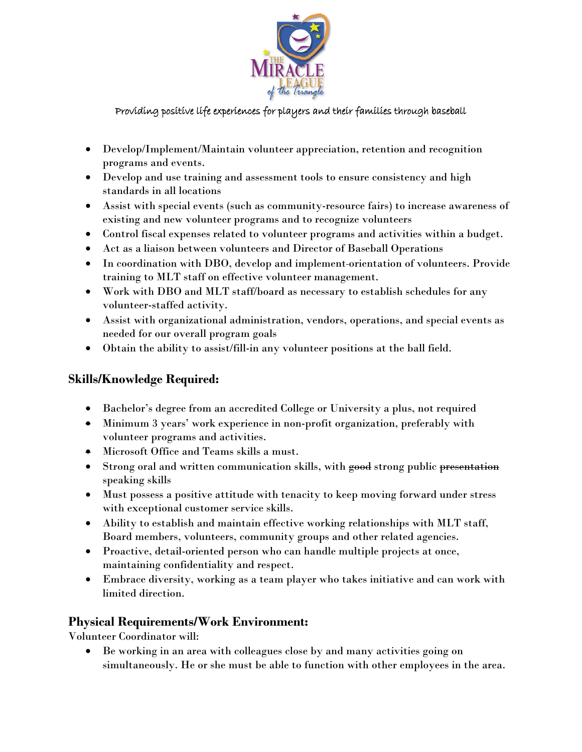

#### Providing positive life experiences for players and their families through baseball

- Develop/Implement/Maintain volunteer appreciation, retention and recognition programs and events.
- Develop and use training and assessment tools to ensure consistency and high standards in all locations
- Assist with special events (such as community-resource fairs) to increase awareness of existing and new volunteer programs and to recognize volunteers
- Control fiscal expenses related to volunteer programs and activities within a budget.
- Act as a liaison between volunteers and Director of Baseball Operations
- In coordination with DBO, develop and implement orientation of volunteers. Provide training to MLT staff on effective volunteer management.
- Work with DBO and MLT staff/board as necessary to establish schedules for any volunteer-staffed activity.
- Assist with organizational administration, vendors, operations, and special events as needed for our overall program goals
- Obtain the ability to assist/fill-in any volunteer positions at the ball field.

## **Skills/Knowledge Required:**

- Bachelor's degree from an accredited College or University a plus, not required
- Minimum 3 years' work experience in non-profit organization, preferably with volunteer programs and activities.
- Microsoft Office and Teams skills a must.
- Strong oral and written communication skills, with good strong public presentation speaking skills
- Must possess a positive attitude with tenacity to keep moving forward under stress with exceptional customer service skills.
- Ability to establish and maintain effective working relationships with MLT staff, Board members, volunteers, community groups and other related agencies.
- Proactive, detail-oriented person who can handle multiple projects at once, maintaining confidentiality and respect.
- Embrace diversity, working as a team player who takes initiative and can work with limited direction.

### **Physical Requirements/Work Environment:**

Volunteer Coordinator will:

• Be working in an area with colleagues close by and many activities going on simultaneously. He or she must be able to function with other employees in the area.